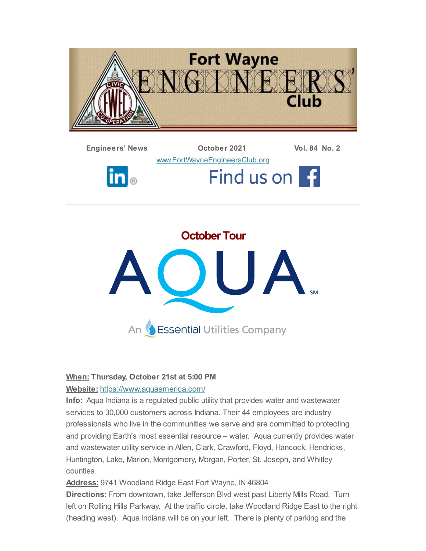





#### **When: Thursday, October 21st at 5:00 PM**

#### **Website:** <https://www.aquaamerica.com/>

**Info:** Aqua Indiana is a regulated public utility that provides water and wastewater services to 30,000 customers across Indiana. Their 44 employees are industry professionals who live in the communities we serve and are committed to protecting and providing Earth's most essential resource – water. Aqua currently provides water and wastewater utility service in Allen, Clark, Crawford, Floyd, Hancock, Hendricks, Huntington, Lake, Marion, Montgomery, Morgan, Porter, St. Joseph, and Whitley counties.

**Address:** 9741 Woodland Ridge East Fort Wayne, IN 46804

**Directions:** From downtown, take Jefferson Blvd west past Liberty Mills Road. Turn left on Rolling Hills Parkway. At the traffic circle, take Woodland Ridge East to the right (heading west). Aqua Indiana will be on your left. There is plenty of parking and the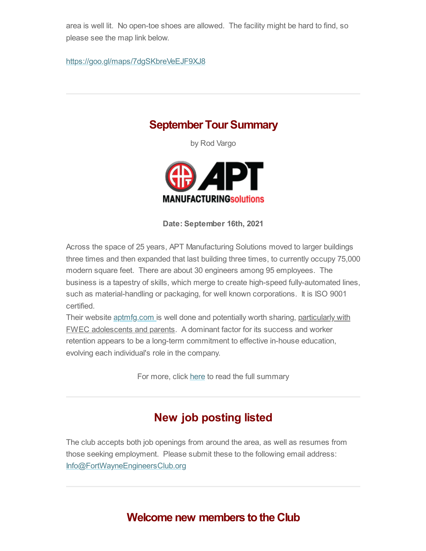area is well lit. No open-toe shoes are allowed. The facility might be hard to find, so please see the map link below.

<https://goo.gl/maps/7dgSKbreVeEJF9XJ8>

### **September Tour Summary**

by Rod Vargo



**Date: September 16th, 2021**

Across the space of 25 years, APT Manufacturing Solutions moved to larger buildings three times and then expanded that last building three times, to currently occupy 75,000 modern square feet. There are about 30 engineers among 95 employees. The business is a tapestry of skills, which merge to create high-speed fully-automated lines, such as material-handling or packaging, for well known corporations. It is ISO 9001 certified.

Their website [aptmfg.com](https://aptmfg.com/) is well done and potentially worth sharing, particularly with FWEC adolescents and parents. A dominant factor for its success and worker retention appears to be a long-term commitment to effective in-house education, evolving each individual's role in the company.

For more, click [here](#page-3-0) to read the full summary

# **New job posting listed**

The club accepts both job openings from around the area, as well as resumes from those seeking employment. Please submit these to the following email address: [Info@FortWayneEngineersClub.org](mailto:info@fortwayneengineersclub.org)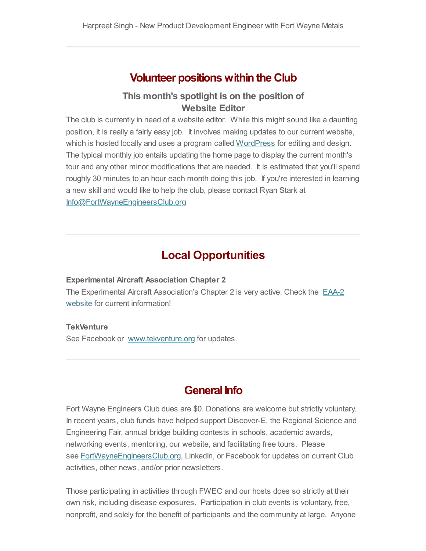### **Volunteer positions within the Club**

### **This month's spotlight is on the position of Website Editor**

The club is currently in need of a website editor. While this might sound like a daunting position, it is really a fairly easy job. It involves making updates to our current website, which is hosted locally and uses a program called [WordPress](https://wordpress.com/) for editing and design. The typical monthly job entails updating the home page to display the current month's tour and any other minor modifications that are needed. It is estimated that you'll spend roughly 30 minutes to an hour each month doing this job. If you're interested in learning a new skill and would like to help the club, please contact Ryan Stark at [Info@FortWayneEngineersClub.org](mailto:info@fortwayneengineersclub.org)

### **Local Opportunities**

#### **Experimental Aircraft Association Chapter 2**

The Experimental Aircraft [Association's](https://www.eaa2.org/young_eagles.php) Chapter 2 is very active. Check the EAA-2 website for current information!

#### **TekVenture**

See Facebook or [www.tekventure.org](http://www.tekventure.org/) for updates.

### **General Info**

Fort Wayne Engineers Club dues are \$0. Donations are welcome but strictly voluntary. In recent years, club funds have helped support Discover-E, the Regional Science and Engineering Fair, annual bridge building contests in schools, academic awards, networking events, mentoring, our website, and facilitating free tours. Please see [FortWayneEngineersClub.org](http://fortwayneengineersclub.org/), LinkedIn, or Facebook for updates on current Club activities, other news, and/or prior newsletters.

Those participating in activities through FWEC and our hosts does so strictly at their own risk, including disease exposures. Participation in club events is voluntary, free, nonprofit, and solely for the benefit of participants and the community at large. Anyone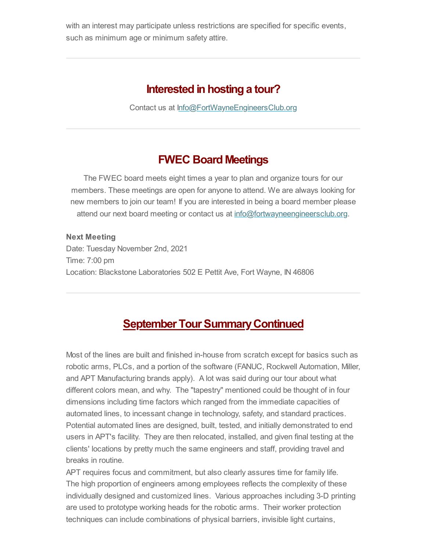with an interest may participate unless restrictions are specified for specific events, such as minimum age or minimum safety attire.

### **Interested in hosting a tour?**

Contact us at [Info@FortWayneEngineersClub.org](mailto:info@fortwayneengineersclub.org)

### **FWEC Board Meetings**

The FWEC board meets eight times a year to plan and organize tours for our members. These meetings are open for anyone to attend. We are always looking for new members to join our team! If you are interested in being a board member please attend our next board meeting or contact us at [info@fortwayneengineersclub.org.](mailto:info@fortwayneengineersclub.org)

**Next Meeting** Date: Tuesday November 2nd, 2021 Time: 7:00 pm Location: Blackstone Laboratories 502 E Pettit Ave, Fort Wayne, IN 46806

## <span id="page-3-0"></span>**September Tour Summary Continued**

Most of the lines are built and finished in-house from scratch except for basics such as robotic arms, PLCs, and a portion of the software (FANUC, Rockwell Automation, Miller, and APT Manufacturing brands apply). A lot was said during our tour about what different colors mean, and why. The "tapestry" mentioned could be thought of in four dimensions including time factors which ranged from the immediate capacities of automated lines, to incessant change in technology, safety, and standard practices. Potential automated lines are designed, built, tested, and initially demonstrated to end users in APT's facility. They are then relocated, installed, and given final testing at the clients' locations by pretty much the same engineers and staff, providing travel and breaks in routine.

APT requires focus and commitment, but also clearly assures time for family life. The high proportion of engineers among employees reflects the complexity of these individually designed and customized lines. Various approaches including 3-D printing are used to prototype working heads for the robotic arms. Their worker protection techniques can include combinations of physical barriers, invisible light curtains,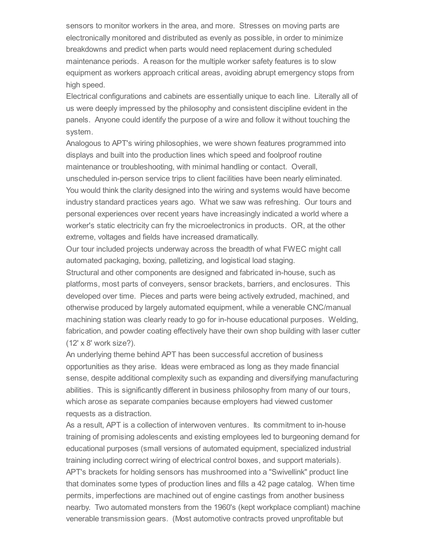sensors to monitor workers in the area, and more. Stresses on moving parts are electronically monitored and distributed as evenly as possible, in order to minimize breakdowns and predict when parts would need replacement during scheduled maintenance periods. A reason for the multiple worker safety features is to slow equipment as workers approach critical areas, avoiding abrupt emergency stops from high speed.

Electrical configurations and cabinets are essentially unique to each line. Literally all of us were deeply impressed by the philosophy and consistent discipline evident in the panels. Anyone could identify the purpose of a wire and follow it without touching the system.

Analogous to APT's wiring philosophies, we were shown features programmed into displays and built into the production lines which speed and foolproof routine maintenance or troubleshooting, with minimal handling or contact. Overall, unscheduled in-person service trips to client facilities have been nearly eliminated. You would think the clarity designed into the wiring and systems would have become industry standard practices years ago. What we saw was refreshing. Our tours and personal experiences over recent years have increasingly indicated a world where a worker's static electricity can fry the microelectronics in products. OR, at the other extreme, voltages and fields have increased dramatically.

Our tour included projects underway across the breadth of what FWEC might call automated packaging, boxing, palletizing, and logistical load staging.

Structural and other components are designed and fabricated in-house, such as platforms, most parts of conveyers, sensor brackets, barriers, and enclosures. This developed over time. Pieces and parts were being actively extruded, machined, and otherwise produced by largely automated equipment, while a venerable CNC/manual machining station was clearly ready to go for in-house educational purposes. Welding, fabrication, and powder coating effectively have their own shop building with laser cutter (12' x 8' work size?).

An underlying theme behind APT has been successful accretion of business opportunities as they arise. Ideas were embraced as long as they made financial sense, despite additional complexity such as expanding and diversifying manufacturing abilities. This is significantly different in business philosophy from many of our tours, which arose as separate companies because employers had viewed customer requests as a distraction.

As a result, APT is a collection of interwoven ventures. Its commitment to in-house training of promising adolescents and existing employees led to burgeoning demand for educational purposes (small versions of automated equipment, specialized industrial training including correct wiring of electrical control boxes, and support materials). APT's brackets for holding sensors has mushroomed into a "Swivellink" product line that dominates some types of production lines and fills a 42 page catalog. When time permits, imperfections are machined out of engine castings from another business nearby. Two automated monsters from the 1960's (kept workplace compliant) machine venerable transmission gears. (Most automotive contracts proved unprofitable but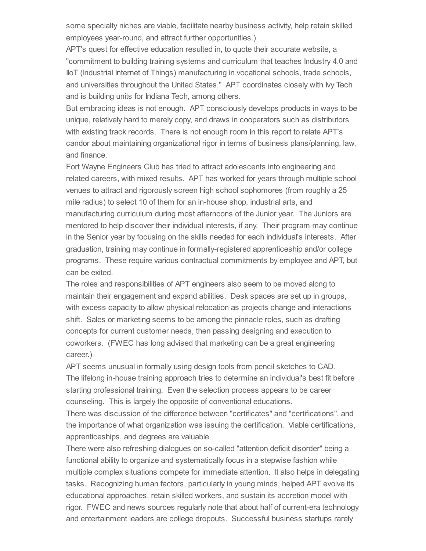some specialty niches are viable, facilitate nearby business activity, help retain skilled employees year-round, and attract further opportunities.)

APT's quest for effective education resulted in, to quote their accurate website, a "commitment to building training systems and curriculum that teaches Industry 4.0 and IIoT (Industrial Internet of Things) manufacturing in vocational schools, trade schools, and universities throughout the United States." APT coordinates closely with Ivy Tech and is building units for Indiana Tech, among others.

But embracing ideas is not enough. APT consciously develops products in ways to be unique, relatively hard to merely copy, and draws in cooperators such as distributors with existing track records. There is not enough room in this report to relate APT's candor about maintaining organizational rigor in terms of business plans/planning, law, and finance.

Fort Wayne Engineers Club has tried to attract adolescents into engineering and related careers, with mixed results. APT has worked for years through multiple school venues to attract and rigorously screen high school sophomores (from roughly a 25 mile radius) to select 10 of them for an in-house shop, industrial arts, and manufacturing curriculum during most afternoons of the Junior year. The Juniors are mentored to help discover their individual interests, if any. Their program may continue in the Senior year by focusing on the skills needed for each individual's interests. After graduation, training may continue in formally-registered apprenticeship and/or college programs. These require various contractual commitments by employee and APT, but can be exited.

The roles and responsibilities of APT engineers also seem to be moved along to maintain their engagement and expand abilities. Desk spaces are set up in groups, with excess capacity to allow physical relocation as projects change and interactions shift. Sales or marketing seems to be among the pinnacle roles, such as drafting concepts for current customer needs, then passing designing and execution to coworkers. (FWEC has long advised that marketing can be a great engineering career.)

APT seems unusual in formally using design tools from pencil sketches to CAD. The lifelong in-house training approach tries to determine an individual's best fit before starting professional training. Even the selection process appears to be career counseling. This is largely the opposite of conventional educations.

There was discussion of the difference between "certificates" and "certifications", and the importance of what organization was issuing the certification. Viable certifications, apprenticeships, and degrees are valuable.

There were also refreshing dialogues on so-called "attention deficit disorder" being a functional ability to organize and systematically focus in a stepwise fashion while multiple complex situations compete for immediate attention. It also helps in delegating tasks. Recognizing human factors, particularly in young minds, helped APT evolve its educational approaches, retain skilled workers, and sustain its accretion model with rigor. FWEC and news sources regularly note that about half of current-era technology and entertainment leaders are college dropouts. Successful business startups rarely